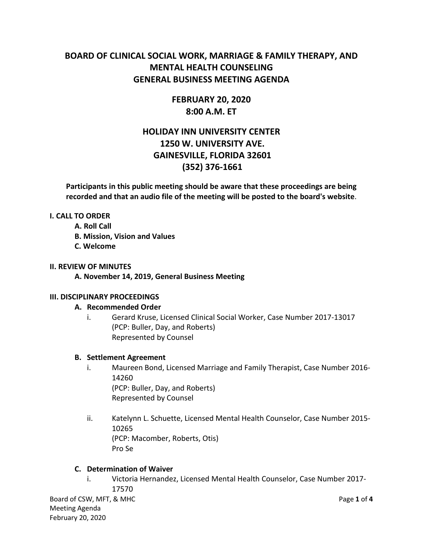# **BOARD OF CLINICAL SOCIAL WORK, MARRIAGE & FAMILY THERAPY, AND MENTAL HEALTH COUNSELING GENERAL BUSINESS MEETING AGENDA**

# **FEBRUARY 20, 2020 8:00 A.M. ET**

# **HOLIDAY INN UNIVERSITY CENTER 1250 W. UNIVERSITY AVE. GAINESVILLE, FLORIDA 32601 (352) 376-1661**

**Participants in this public meeting should be aware that these proceedings are being recorded and that an audio file of the meeting will be posted to the board's website**.

# **I. CALL TO ORDER**

- **A. Roll Call**
- **B. Mission, Vision and Values**
- **C. Welcome**

#### **II. REVIEW OF MINUTES**

**A. November 14, 2019, General Business Meeting**

# **III. DISCIPLINARY PROCEEDINGS**

# **A. Recommended Order**

i. Gerard Kruse, Licensed Clinical Social Worker, Case Number 2017-13017 (PCP: Buller, Day, and Roberts) Represented by Counsel

# **B. Settlement Agreement**

- i. Maureen Bond, Licensed Marriage and Family Therapist, Case Number 2016- 14260 (PCP: Buller, Day, and Roberts) Represented by Counsel
- ii. Katelynn L. Schuette, Licensed Mental Health Counselor, Case Number 2015- 10265 (PCP: Macomber, Roberts, Otis) Pro Se

# **C. Determination of Waiver**

i. Victoria Hernandez, Licensed Mental Health Counselor, Case Number 2017- 17570

Board of CSW, MFT, & MHC **Page 1** of **4** Meeting Agenda February 20, 2020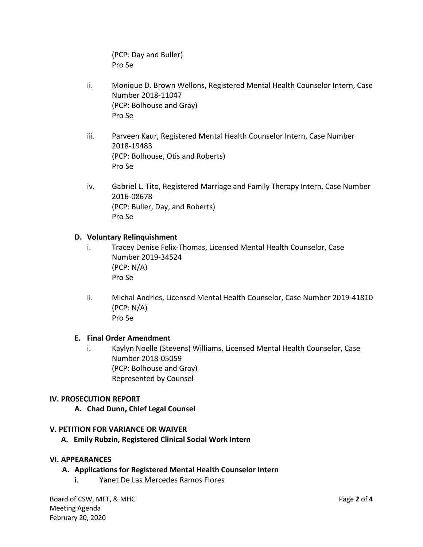(PCP: Day and Buller) Pro Se

- ii. Monique D. Brown Wellons, Registered Mental Health Counselor Intern, Case Number 2018-11047 (PCP: Bolhouse and Gray) Pro Se
- iii. Parveen Kaur, Registered Mental Health Counselor Intern, Case Number 2018-19483 (PCP: Bolhouse, Otis and Roberts) Pro Se
- iv. Gabriel L. Tito, Registered Marriage and Family Therapy Intern, Case Number 2016-08678 (PCP: Buller, Day, and Roberts) Pro Se

# **D. Voluntary Relinquishment**

- i. Tracey Denise Felix-Thomas, Licensed Mental Health Counselor, Case Number 2019-34524 (PCP: N/A) Pro Se
- ii. Michal Andries, Licensed Mental Health Counselor, Case Number 2019-41810 (PCP: N/A) Pro Se

# **E. Final Order Amendment**

i. Kaylyn Noelle (Stevens) Williams, Licensed Mental Health Counselor, Case Number 2018-05059 (PCP: Bolhouse and Gray) Represented by Counsel

# **IV. PROSECUTION REPORT**

**A. Chad Dunn, Chief Legal Counsel**

#### **V. PETITION FOR VARIANCE OR WAIVER**

 **A. Emily Rubzin, Registered Clinical Social Work Intern**

#### **VI. APPEARANCES**

- **A. Applications for Registered Mental Health Counselor Intern**
	- i. Yanet De Las Mercedes Ramos Flores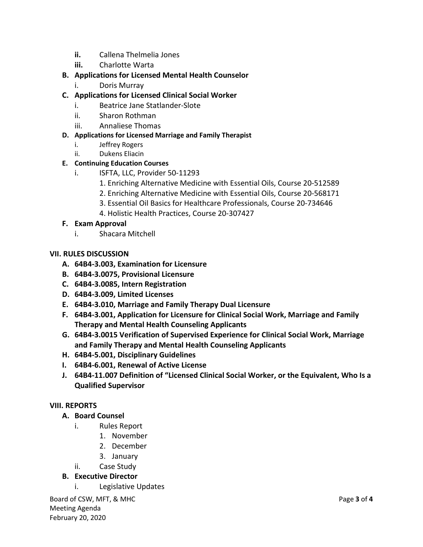- **ii.** Callena Thelmelia Jones
- **iii.** Charlotte Warta

# **B. Applications for Licensed Mental Health Counselor**

- i. Doris Murray
- **C. Applications for Licensed Clinical Social Worker**
	- i. Beatrice Jane Statlander-Slote
	- ii. Sharon Rothman
	- iii. Annaliese Thomas

# **D. Applications for Licensed Marriage and Family Therapist**

- i. Jeffrey Rogers
- ii. Dukens Eliacin

# **E. Continuing Education Courses**

- i. ISFTA, LLC, Provider 50-11293
	- 1. Enriching Alternative Medicine with Essential Oils, Course 20-512589
	- 2. Enriching Alternative Medicine with Essential Oils, Course 20-568171
	- 3. Essential Oil Basics for Healthcare Professionals, Course 20-734646
	- 4. Holistic Health Practices, Course 20-307427

# **F. Exam Approval**

i. Shacara Mitchell

# **VII. RULES DISCUSSION**

- **A. 64B4-3.003, Examination for Licensure**
- **B. 64B4-3.0075, Provisional Licensure**
- **C. 64B4-3.0085, Intern Registration**
- **D. 64B4-3.009, Limited Licenses**
- **E. 64B4-3.010, Marriage and Family Therapy Dual Licensure**
- **F. 64B4-3.001, Application for Licensure for Clinical Social Work, Marriage and Family Therapy and Mental Health Counseling Applicants**
- **G. 64B4-3.0015 Verification of Supervised Experience for Clinical Social Work, Marriage and Family Therapy and Mental Health Counseling Applicants**
- **H. 64B4-5.001, Disciplinary Guidelines**
- **I. 64B4-6.001, Renewal of Active License**
- **J. 64B4-11.007 Definition of "Licensed Clinical Social Worker, or the Equivalent, Who Is a Qualified Supervisor**

# **VIII. REPORTS**

# **A. Board Counsel**

- i. Rules Report
	- 1. November
	- 2. December
	- 3. January
- ii. Case Study

# **B. Executive Director**

i. Legislative Updates

Board of CSW, MFT, & MHC **Page 3** of **4** Meeting Agenda February 20, 2020